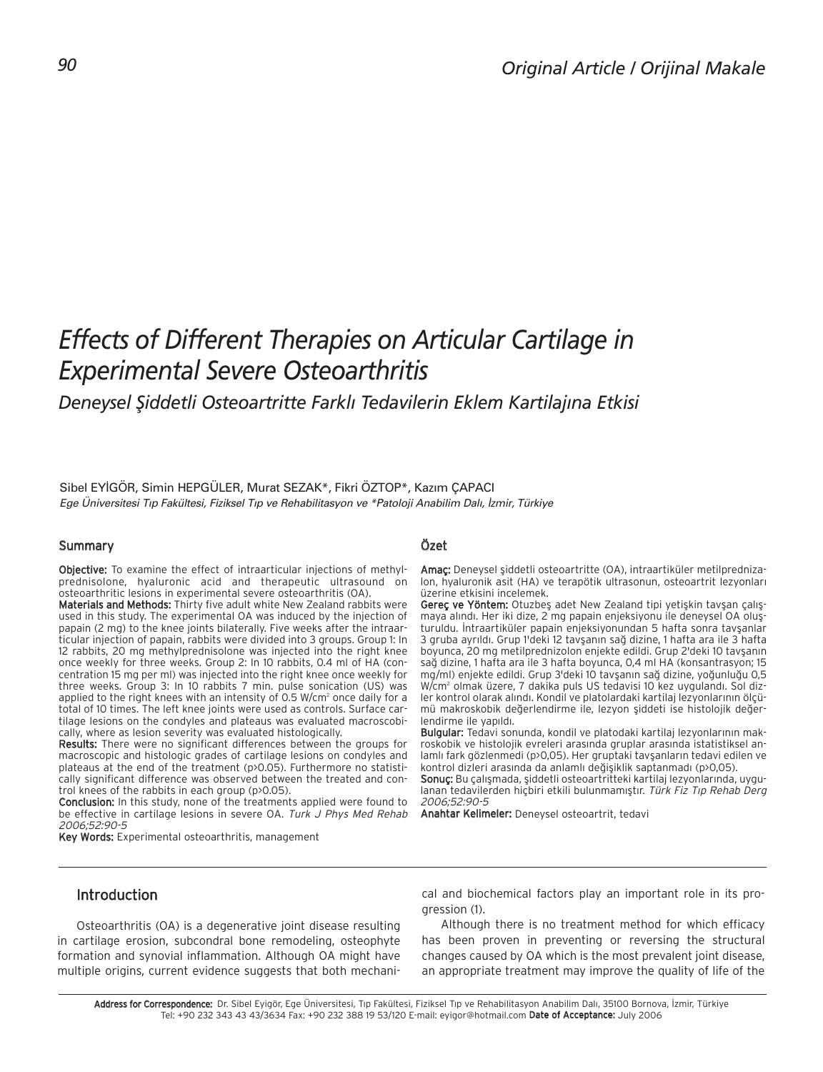# *Effects of Different Therapies on Articular Cartilage in Experimental Severe Osteoarthritis*

## *Deneysel fiiddetli Osteoartritte Farkl› Tedavilerin Eklem Kartilaj›na Etkisi*

Sibel EYİGÖR, Simin HEPGÜLER, Murat SEZAK\*, Fikri ÖZTOP\*, Kazım ÇAPACI *Ege Üniversitesi T›p Fakültesi, Fiziksel T›p ve Rehabilitasyon ve \*Patoloji Anabilim Dal›, ‹zmir, Türkiye*

#### Summary

Objective: To examine the effect of intraarticular injections of methylprednisolone, hyaluronic acid and therapeutic ultrasound on osteoarthritic lesions in experimental severe osteoarthritis (OA).

Materials and Methods: Thirty five adult white New Zealand rabbits were used in this study. The experimental OA was induced by the injection of papain (2 mg) to the knee joints bilaterally. Five weeks after the intraarticular injection of papain, rabbits were divided into 3 groups. Group 1: In 12 rabbits, 20 mg methylprednisolone was injected into the right knee once weekly for three weeks. Group 2: In 10 rabbits, 0.4 ml of HA (concentration 15 mg per ml) was injected into the right knee once weekly for three weeks. Group 3: In 10 rabbits 7 min. pulse sonication (US) was applied to the right knees with an intensity of 0.5 W/cm<sup>2</sup> once daily for a total of 10 times. The left knee joints were used as controls. Surface cartilage lesions on the condyles and plateaus was evaluated macroscobically, where as lesion severity was evaluated histologically.

Results: There were no significant differences between the groups for macroscopic and histologic grades of cartilage lesions on condyles and plateaus at the end of the treatment (p>0.05). Furthermore no statistically significant difference was observed between the treated and control knees of the rabbits in each group (p>0.05).

Conclusion: In this study, none of the treatments applied were found to be effective in cartilage lesions in severe OA. Turk J Phys Med Rehab 2006;52:90-5

Key Words: Experimental osteoarthritis, management

#### Özet

Amaç: Deneysel şiddetli osteoartritte (OA), intraartiküler metilprednizalon, hyaluronik asit (HA) ve terapötik ultrasonun, osteoartrit lezyonları üzerine etkisini incelemek.

Gereç ve Yöntem: Otuzbeş adet New Zealand tipi yetişkin tavşan çalışmaya alındı. Her iki dize, 2 mg papain enjeksiyonu ile deneysel OA oluşturuldu. Intraartiküler papain enjeksiyonundan 5 hafta sonra tavşanlar 3 gruba ayrıldı. Grup 1'deki 12 tavşanın sağ dizine, 1 hafta ara ile 3 hafta boyunca, 20 mg metilprednizolon enjekte edildi. Grup 2'deki 10 tavsanın sağ dizine, 1 hafta ara ile 3 hafta boyunca, 0,4 ml HA (konsantrasyon; 15 mg/ml) enjekte edildi. Grup 3'deki 10 tavşanın sağ dizine, yoğunluğu 0,5 W/cm<sup>2</sup> olmak üzere, 7 dakika puls US tedavisi 10 kez uygulandı. Sol dizler kontrol olarak alındı. Kondil ve platolardaki kartilaj lezyonlarının ölçümü makroskobik değerlendirme ile, lezyon şiddeti ise histolojik değerlendirme ile yapıldı.

Bulgular: Tedavi sonunda, kondil ve platodaki kartilaj lezyonlarının makroskobik ve histolojik evreleri arasında gruplar arasında istatistiksel anlamlı fark gözlenmedi (p>0,05). Her gruptaki tavşanların tedavi edilen ve kontrol dizleri arasında da anlamlı değişiklik saptanmadı (p>0,05).

Sonuc: Bu çalışmada, siddetli osteoartritteki kartilaj lezyonlarında, uygulanan tedavilerden hiçbiri etkili bulunmamıştır. Türk Fiz Tıp Rehab Derg 2006;52:90-5

Anahtar Kelimeler: Deneysel osteoartrit, tedavi

## Introduction

Osteoarthritis (OA) is a degenerative joint disease resulting in cartilage erosion, subcondral bone remodeling, osteophyte formation and synovial inflammation. Although OA might have multiple origins, current evidence suggests that both mechanical and biochemical factors play an important role in its progression (1).

Although there is no treatment method for which efficacy has been proven in preventing or reversing the structural changes caused by OA which is the most prevalent joint disease, an appropriate treatment may improve the quality of life of the

Address for Correspondence: Dr. Sibel Eyigör, Ege Üniversitesi, Tıp Fakültesi, Fiziksel Tıp ve Rehabilitasyon Anabilim Dalı, 35100 Bornova, İzmir, Türkiye Tel: +90 232 343 43 43/3634 Fax: +90 232 388 19 53/120 E-mail: eyigor@hotmail.com Date of Acceptance: July 2006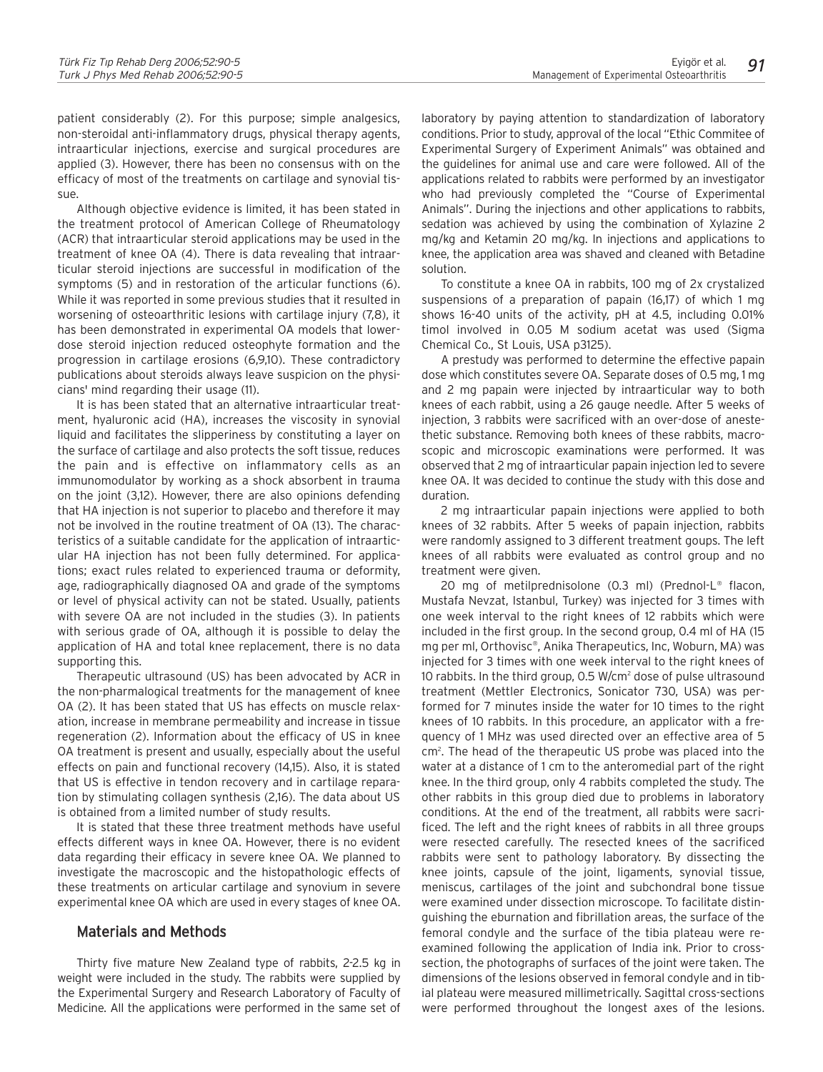patient considerably (2). For this purpose; simple analgesics, non-steroidal anti-inflammatory drugs, physical therapy agents, intraarticular injections, exercise and surgical procedures are applied (3). However, there has been no consensus with on the efficacy of most of the treatments on cartilage and synovial tissue.

Although objective evidence is limited, it has been stated in the treatment protocol of American College of Rheumatology (ACR) that intraarticular steroid applications may be used in the treatment of knee OA (4). There is data revealing that intraarticular steroid injections are successful in modification of the symptoms (5) and in restoration of the articular functions (6). While it was reported in some previous studies that it resulted in worsening of osteoarthritic lesions with cartilage injury (7,8), it has been demonstrated in experimental OA models that lowerdose steroid injection reduced osteophyte formation and the progression in cartilage erosions (6,9,10). These contradictory publications about steroids always leave suspicion on the physicians' mind regarding their usage (11).

It is has been stated that an alternative intraarticular treatment, hyaluronic acid (HA), increases the viscosity in synovial liquid and facilitates the slipperiness by constituting a layer on the surface of cartilage and also protects the soft tissue, reduces the pain and is effective on inflammatory cells as an immunomodulator by working as a shock absorbent in trauma on the joint (3,12). However, there are also opinions defending that HA injection is not superior to placebo and therefore it may not be involved in the routine treatment of OA (13). The characteristics of a suitable candidate for the application of intraarticular HA injection has not been fully determined. For applications; exact rules related to experienced trauma or deformity, age, radiographically diagnosed OA and grade of the symptoms or level of physical activity can not be stated. Usually, patients with severe OA are not included in the studies (3). In patients with serious grade of OA, although it is possible to delay the application of HA and total knee replacement, there is no data supporting this.

Therapeutic ultrasound (US) has been advocated by ACR in the non-pharmalogical treatments for the management of knee OA (2). It has been stated that US has effects on muscle relaxation, increase in membrane permeability and increase in tissue regeneration (2). Information about the efficacy of US in knee OA treatment is present and usually, especially about the useful effects on pain and functional recovery (14,15). Also, it is stated that US is effective in tendon recovery and in cartilage reparation by stimulating collagen synthesis (2,16). The data about US is obtained from a limited number of study results.

It is stated that these three treatment methods have useful effects different ways in knee OA. However, there is no evident data regarding their efficacy in severe knee OA. We planned to investigate the macroscopic and the histopathologic effects of these treatments on articular cartilage and synovium in severe experimental knee OA which are used in every stages of knee OA.

## Materials and Methods

Thirty five mature New Zealand type of rabbits, 2-2.5 kg in weight were included in the study. The rabbits were supplied by the Experimental Surgery and Research Laboratory of Faculty of Medicine. All the applications were performed in the same set of laboratory by paying attention to standardization of laboratory conditions. Prior to study, approval of the local "Ethic Commitee of Experimental Surgery of Experiment Animals" was obtained and the guidelines for animal use and care were followed. All of the applications related to rabbits were performed by an investigator who had previously completed the "Course of Experimental Animals". During the injections and other applications to rabbits, sedation was achieved by using the combination of Xylazine 2 mg/kg and Ketamin 20 mg/kg. In injections and applications to knee, the application area was shaved and cleaned with Betadine solution.

To constitute a knee OA in rabbits, 100 mg of 2x crystalized suspensions of a preparation of papain (16,17) of which 1 mg shows 16-40 units of the activity, pH at 4.5, including 0.01% timol involved in 0.05 M sodium acetat was used (Sigma Chemical Co., St Louis, USA p3125).

A prestudy was performed to determine the effective papain dose which constitutes severe OA. Separate doses of 0.5 mg, 1 mg and 2 mg papain were injected by intraarticular way to both knees of each rabbit, using a 26 gauge needle. After 5 weeks of injection, 3 rabbits were sacrificed with an over-dose of anestethetic substance. Removing both knees of these rabbits, macroscopic and microscopic examinations were performed. It was observed that 2 mg of intraarticular papain injection led to severe knee OA. It was decided to continue the study with this dose and duration.

2 mg intraarticular papain injections were applied to both knees of 32 rabbits. After 5 weeks of papain injection, rabbits were randomly assigned to 3 different treatment goups. The left knees of all rabbits were evaluated as control group and no treatment were given.

20 mg of metilprednisolone (0.3 ml) (Prednol-L® flacon, Mustafa Nevzat, Istanbul, Turkey) was injected for 3 times with one week interval to the right knees of 12 rabbits which were included in the first group. In the second group, 0.4 ml of HA (15 mg per ml, Orthovisc®, Anika Therapeutics, Inc, Woburn, MA) was injected for 3 times with one week interval to the right knees of 10 rabbits. In the third group, 0.5 W/cm<sup>2</sup> dose of pulse ultrasound treatment (Mettler Electronics, Sonicator 730, USA) was performed for 7 minutes inside the water for 10 times to the right knees of 10 rabbits. In this procedure, an applicator with a frequency of 1 MHz was used directed over an effective area of 5 cm<sup>2</sup>. The head of the therapeutic US probe was placed into the water at a distance of 1 cm to the anteromedial part of the right knee. In the third group, only 4 rabbits completed the study. The other rabbits in this group died due to problems in laboratory conditions. At the end of the treatment, all rabbits were sacrificed. The left and the right knees of rabbits in all three groups were resected carefully. The resected knees of the sacrificed rabbits were sent to pathology laboratory. By dissecting the knee joints, capsule of the joint, ligaments, synovial tissue, meniscus, cartilages of the joint and subchondral bone tissue were examined under dissection microscope. To facilitate distinguishing the eburnation and fibrillation areas, the surface of the femoral condyle and the surface of the tibia plateau were reexamined following the application of India ink. Prior to crosssection, the photographs of surfaces of the joint were taken. The dimensions of the lesions observed in femoral condyle and in tibial plateau were measured millimetrically. Sagittal cross-sections were performed throughout the longest axes of the lesions.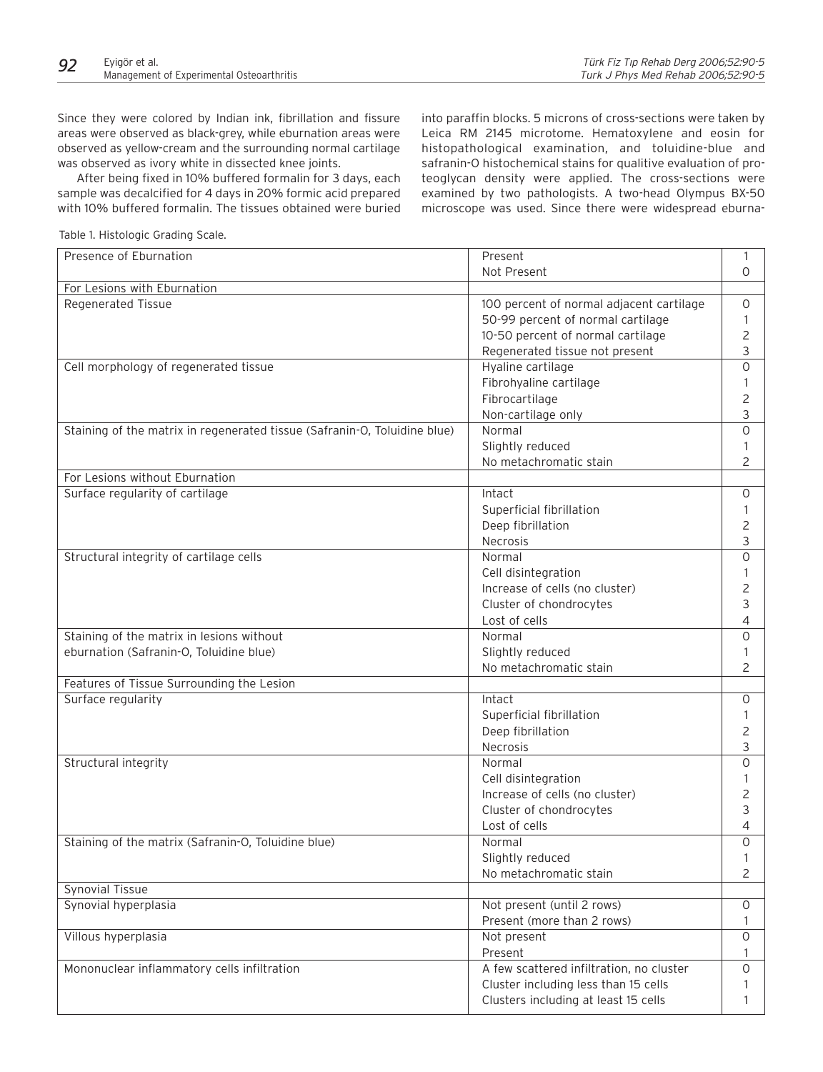Since they were colored by Indian ink, fibrillation and fissure areas were observed as black-grey, while eburnation areas were observed as yellow-cream and the surrounding normal cartilage was observed as ivory white in dissected knee joints.

After being fixed in 10% buffered formalin for 3 days, each sample was decalcified for 4 days in 20% formic acid prepared with 10% buffered formalin. The tissues obtained were buried

into paraffin blocks. 5 microns of cross-sections were taken by Leica RM 2145 microtome. Hematoxylene and eosin for histopathological examination, and toluidine-blue and safranin-O histochemical stains for qualitive evaluation of proteoglycan density were applied. The cross-sections were examined by two pathologists. A two-head Olympus BX-50 microscope was used. Since there were widespread eburna-

Table 1. Histologic Grading Scale.

| Presence of Eburnation                                                    | Present                                  | 1                   |
|---------------------------------------------------------------------------|------------------------------------------|---------------------|
|                                                                           | Not Present                              | 0                   |
| For Lesions with Eburnation                                               |                                          |                     |
| <b>Regenerated Tissue</b>                                                 | 100 percent of normal adjacent cartilage | $\circ$             |
|                                                                           | 50-99 percent of normal cartilage        | 1                   |
|                                                                           | 10-50 percent of normal cartilage        | $\overline{c}$      |
|                                                                           | Regenerated tissue not present           | 3                   |
| Cell morphology of regenerated tissue                                     | Hyaline cartilage                        | 0                   |
|                                                                           | Fibrohyaline cartilage                   |                     |
|                                                                           | Fibrocartilage                           | 2                   |
|                                                                           | Non-cartilage only                       | 3                   |
| Staining of the matrix in regenerated tissue (Safranin-O, Toluidine blue) | Normal                                   | 0                   |
|                                                                           | Slightly reduced                         | 1                   |
|                                                                           | No metachromatic stain                   | 2                   |
| For Lesions without Eburnation                                            |                                          |                     |
| Surface regularity of cartilage                                           | Intact                                   | 0                   |
|                                                                           | Superficial fibrillation                 |                     |
|                                                                           | Deep fibrillation                        | 1<br>$\overline{c}$ |
|                                                                           |                                          | 3                   |
|                                                                           | Necrosis                                 |                     |
| Structural integrity of cartilage cells                                   | Normal                                   | $\circ$             |
|                                                                           | Cell disintegration                      | 1                   |
|                                                                           | Increase of cells (no cluster)           | 2                   |
|                                                                           | Cluster of chondrocytes                  | 3                   |
|                                                                           | Lost of cells                            | 4                   |
| Staining of the matrix in lesions without                                 | Normal                                   | $\circ$             |
| eburnation (Safranin-O, Toluidine blue)                                   | Slightly reduced                         | -1                  |
|                                                                           | No metachromatic stain                   | $\overline{2}$      |
| Features of Tissue Surrounding the Lesion                                 |                                          |                     |
| Surface regularity                                                        | Intact                                   | $\circ$             |
|                                                                           | Superficial fibrillation                 |                     |
|                                                                           | Deep fibrillation                        | $\overline{c}$      |
|                                                                           | Necrosis                                 | 3                   |
| Structural integrity                                                      | Normal                                   | 0                   |
|                                                                           | Cell disintegration                      | $\mathbf{1}$        |
|                                                                           | Increase of cells (no cluster)           | 2                   |
|                                                                           | Cluster of chondrocytes                  | 3                   |
|                                                                           | Lost of cells                            | 4                   |
| Staining of the matrix (Safranin-O, Toluidine blue)                       | Normal                                   | $\circ$             |
|                                                                           | Slightly reduced                         | Ι.                  |
|                                                                           | No metachromatic stain                   | $\overline{2}$      |
| <b>Synovial Tissue</b>                                                    |                                          |                     |
| Synovial hyperplasia                                                      | Not present (until 2 rows)               | $\circ$             |
|                                                                           | Present (more than 2 rows)               | 1                   |
| Villous hyperplasia                                                       | Not present                              | $\circ$             |
|                                                                           | Present                                  | 1                   |
| Mononuclear inflammatory cells infiltration                               | A few scattered infiltration, no cluster | $\mathsf O$         |
|                                                                           | Cluster including less than 15 cells     | $\mathbf{1}$        |
|                                                                           | Clusters including at least 15 cells     | 1                   |
|                                                                           |                                          |                     |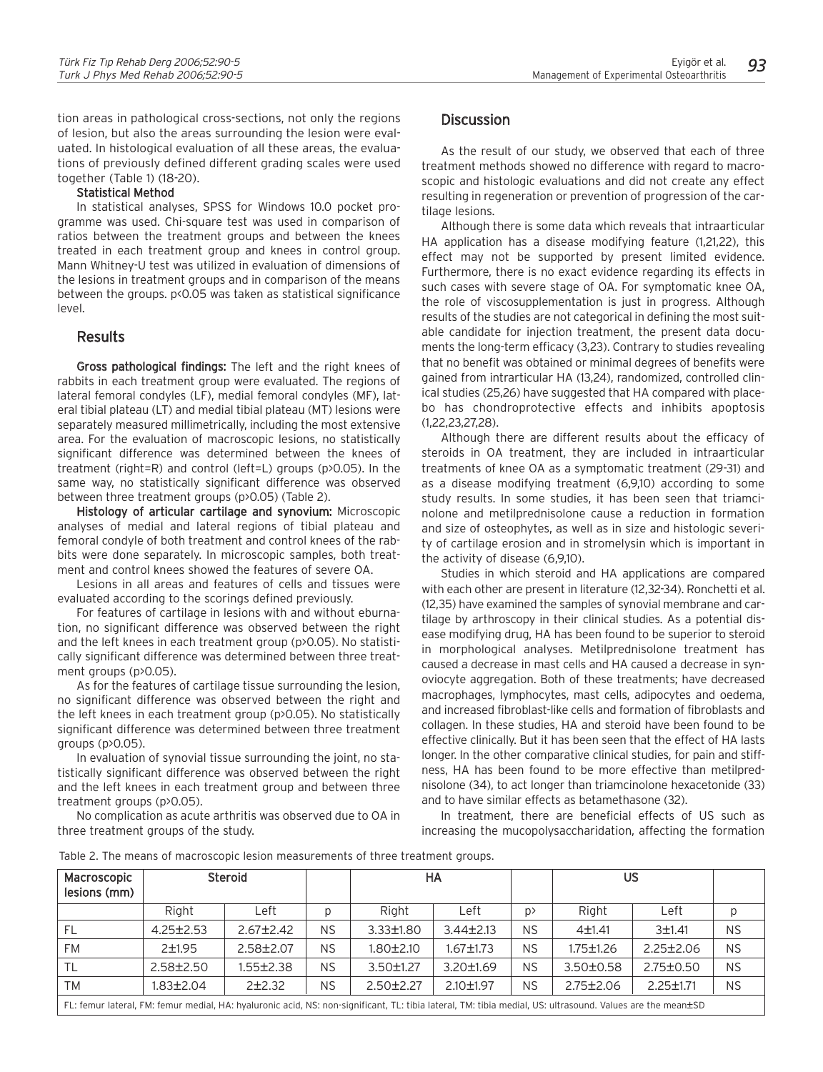tion areas in pathological cross-sections, not only the regions of lesion, but also the areas surrounding the lesion were evaluated. In histological evaluation of all these areas, the evaluations of previously defined different grading scales were used together (Table 1) (18-20).

#### Statistical Method

In statistical analyses, SPSS for Windows 10.0 pocket programme was used. Chi-square test was used in comparison of ratios between the treatment groups and between the knees treated in each treatment group and knees in control group. Mann Whitney-U test was utilized in evaluation of dimensions of the lesions in treatment groups and in comparison of the means between the groups. p<0.05 was taken as statistical significance level.

#### **Results**

Gross pathological findings: The left and the right knees of rabbits in each treatment group were evaluated. The regions of lateral femoral condyles (LF), medial femoral condyles (MF), lateral tibial plateau (LT) and medial tibial plateau (MT) lesions were separately measured millimetrically, including the most extensive area. For the evaluation of macroscopic lesions, no statistically significant difference was determined between the knees of treatment (right=R) and control (left=L) groups (p>0.05). In the same way, no statistically significant difference was observed between three treatment groups (p>0.05) (Table 2).

Histology of articular cartilage and synovium: Microscopic analyses of medial and lateral regions of tibial plateau and femoral condyle of both treatment and control knees of the rabbits were done separately. In microscopic samples, both treatment and control knees showed the features of severe OA.

Lesions in all areas and features of cells and tissues were evaluated according to the scorings defined previously.

For features of cartilage in lesions with and without eburnation, no significant difference was observed between the right and the left knees in each treatment group (p>0.05). No statistically significant difference was determined between three treatment groups (p>0.05).

As for the features of cartilage tissue surrounding the lesion, no significant difference was observed between the right and the left knees in each treatment group (p>0.05). No statistically significant difference was determined between three treatment groups (p>0.05).

In evaluation of synovial tissue surrounding the joint, no statistically significant difference was observed between the right and the left knees in each treatment group and between three treatment groups (p>0.05).

No complication as acute arthritis was observed due to OA in three treatment groups of the study.

## **Discussion**

As the result of our study, we observed that each of three treatment methods showed no difference with regard to macroscopic and histologic evaluations and did not create any effect resulting in regeneration or prevention of progression of the cartilage lesions.

Although there is some data which reveals that intraarticular HA application has a disease modifying feature (1,21,22), this effect may not be supported by present limited evidence. Furthermore, there is no exact evidence regarding its effects in such cases with severe stage of OA. For symptomatic knee OA, the role of viscosupplementation is just in progress. Although results of the studies are not categorical in defining the most suitable candidate for injection treatment, the present data documents the long-term efficacy (3,23). Contrary to studies revealing that no benefit was obtained or minimal degrees of benefits were gained from intrarticular HA (13,24), randomized, controlled clinical studies (25,26) have suggested that HA compared with placebo has chondroprotective effects and inhibits apoptosis (1,22,23,27,28).

Although there are different results about the efficacy of steroids in OA treatment, they are included in intraarticular treatments of knee OA as a symptomatic treatment (29-31) and as a disease modifying treatment (6,9,10) according to some study results. In some studies, it has been seen that triamcinolone and metilprednisolone cause a reduction in formation and size of osteophytes, as well as in size and histologic severity of cartilage erosion and in stromelysin which is important in the activity of disease (6,9,10).

Studies in which steroid and HA applications are compared with each other are present in literature (12,32-34). Ronchetti et al. (12,35) have examined the samples of synovial membrane and cartilage by arthroscopy in their clinical studies. As a potential disease modifying drug, HA has been found to be superior to steroid in morphological analyses. Metilprednisolone treatment has caused a decrease in mast cells and HA caused a decrease in synoviocyte aggregation. Both of these treatments; have decreased macrophages, lymphocytes, mast cells, adipocytes and oedema, and increased fibroblast-like cells and formation of fibroblasts and collagen. In these studies, HA and steroid have been found to be effective clinically. But it has been seen that the effect of HA lasts longer. In the other comparative clinical studies, for pain and stiffness, HA has been found to be more effective than metilprednisolone (34), to act longer than triamcinolone hexacetonide (33) and to have similar effects as betamethasone (32).

In treatment, there are beneficial effects of US such as increasing the mucopolysaccharidation, affecting the formation

|  |  | Table 2. The means of macroscopic lesion measurements of three treatment groups. |  |  |
|--|--|----------------------------------------------------------------------------------|--|--|

| Macroscopic<br>lesions (mm) | Steroid         |                                                                                                                                                            |           | HA              |                 |           | US              |                 |           |
|-----------------------------|-----------------|------------------------------------------------------------------------------------------------------------------------------------------------------------|-----------|-----------------|-----------------|-----------|-----------------|-----------------|-----------|
|                             | Right           | Left                                                                                                                                                       | p         | Right           | Left            | p         | Right           | Left            | р         |
| FL                          | $4.25 \pm 2.53$ | $2.67 \pm 2.42$                                                                                                                                            | <b>NS</b> | $3.33 \pm 1.80$ | $3.44 \pm 2.13$ | <b>NS</b> | 4±1.41          | 3±1.41          | <b>NS</b> |
| <b>FM</b>                   | 2±1.95          | $2.58 \pm 2.07$                                                                                                                                            | <b>NS</b> | $1.80 \pm 2.10$ | $1.67 \pm 1.73$ | <b>NS</b> | $1.75 \pm 1.26$ | $2.25 \pm 2.06$ | <b>NS</b> |
| TL                          | $2.58 \pm 2.50$ | $1.55 \pm 2.38$                                                                                                                                            | <b>NS</b> | $3.50 \pm 1.27$ | $3.20 \pm 1.69$ | <b>NS</b> | $3.50 \pm 0.58$ | $2.75 \pm 0.50$ | <b>NS</b> |
| TM                          | $1.83 \pm 2.04$ | 2±2.32                                                                                                                                                     | <b>NS</b> | $2.50 \pm 2.27$ | $2.10 \pm 1.97$ | <b>NS</b> | $2.75 \pm 2.06$ | $2.25 \pm 1.71$ | <b>NS</b> |
|                             |                 | FL: femur lateral, FM: femur medial, HA: hyaluronic acid, NS: non-significant, TL: tibia lateral, TM: tibia medial, US: ultrasound. Values are the mean±SD |           |                 |                 |           |                 |                 |           |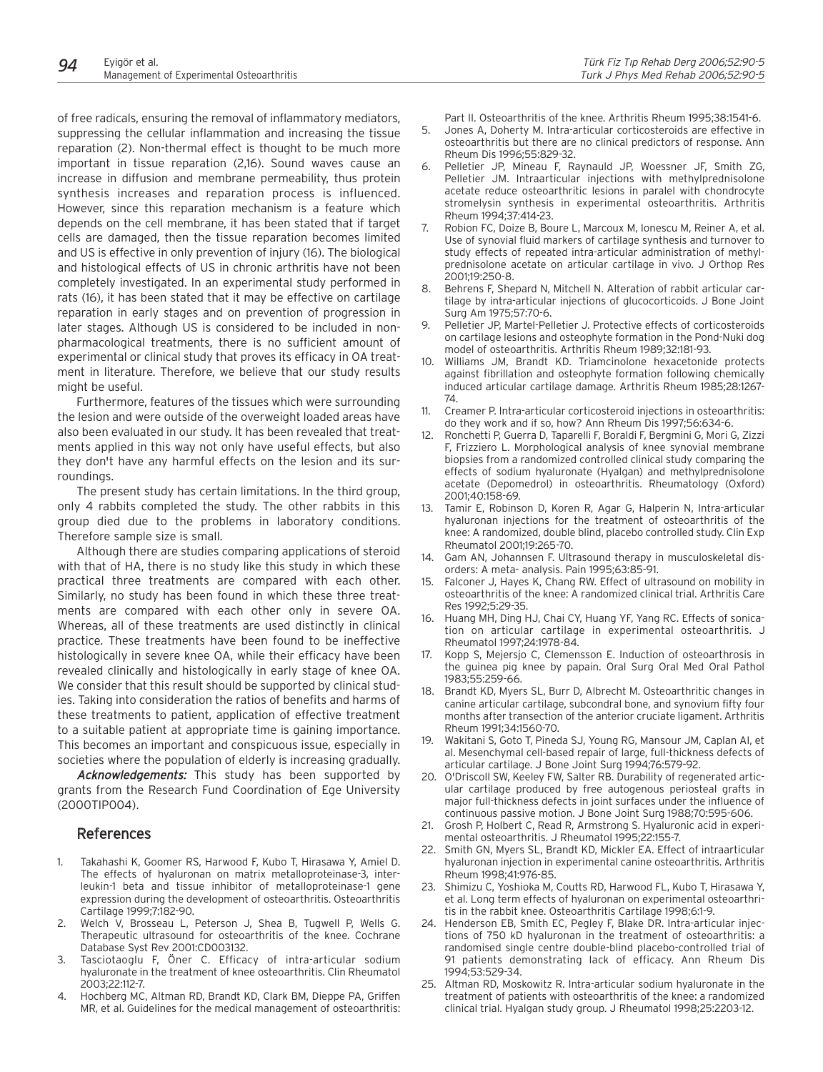of free radicals, ensuring the removal of inflammatory mediators, suppressing the cellular inflammation and increasing the tissue reparation (2). Non-thermal effect is thought to be much more important in tissue reparation (2,16). Sound waves cause an increase in diffusion and membrane permeability, thus protein synthesis increases and reparation process is influenced. However, since this reparation mechanism is a feature which depends on the cell membrane, it has been stated that if target cells are damaged, then the tissue reparation becomes limited and US is effective in only prevention of injury (16). The biological and histological effects of US in chronic arthritis have not been completely investigated. In an experimental study performed in rats (16), it has been stated that it may be effective on cartilage reparation in early stages and on prevention of progression in later stages. Although US is considered to be included in nonpharmacological treatments, there is no sufficient amount of experimental or clinical study that proves its efficacy in OA treatment in literature. Therefore, we believe that our study results might be useful.

Furthermore, features of the tissues which were surrounding the lesion and were outside of the overweight loaded areas have also been evaluated in our study. It has been revealed that treatments applied in this way not only have useful effects, but also they don't have any harmful effects on the lesion and its surroundings.

The present study has certain limitations. In the third group, only 4 rabbits completed the study. The other rabbits in this group died due to the problems in laboratory conditions. Therefore sample size is small.

Although there are studies comparing applications of steroid with that of HA, there is no study like this study in which these practical three treatments are compared with each other. Similarly, no study has been found in which these three treatments are compared with each other only in severe OA. Whereas, all of these treatments are used distinctly in clinical practice. These treatments have been found to be ineffective histologically in severe knee OA, while their efficacy have been revealed clinically and histologically in early stage of knee OA. We consider that this result should be supported by clinical studies. Taking into consideration the ratios of benefits and harms of these treatments to patient, application of effective treatment to a suitable patient at appropriate time is gaining importance. This becomes an important and conspicuous issue, especially in societies where the population of elderly is increasing gradually.

Acknowledgements: This study has been supported by grants from the Research Fund Coordination of Ege University (2000TIP004).

## References

- 1. Takahashi K, Goomer RS, Harwood F, Kubo T, Hirasawa Y, Amiel D. The effects of hyaluronan on matrix metalloproteinase-3, interleukin-1 beta and tissue inhibitor of metalloproteinase-1 gene expression during the development of osteoarthritis. Osteoarthritis Cartilage 1999;7:182-90.
- 2. Welch V, Brosseau L, Peterson J, Shea B, Tugwell P, Wells G. Therapeutic ultrasound for osteoarthritis of the knee. Cochrane Database Syst Rev 2001:CD003132.
- 3. Tasciotaoglu F, Öner C. Efficacy of intra-articular sodium hyaluronate in the treatment of knee osteoarthritis. Clin Rheumatol 2003;22:112-7.
- 4. Hochberg MC, Altman RD, Brandt KD, Clark BM, Dieppe PA, Griffen MR, et al. Guidelines for the medical management of osteoarthritis:

Part II. Osteoarthritis of the knee. Arthritis Rheum 1995;38:1541-6.

- 5. Jones A, Doherty M. Intra-articular corticosteroids are effective in osteoarthritis but there are no clinical predictors of response. Ann Rheum Dis 1996;55:829-32.
- 6. Pelletier JP, Mineau F, Raynauld JP, Woessner JF, Smith ZG, Pelletier JM. Intraarticular injections with methylprednisolone acetate reduce osteoarthritic lesions in paralel with chondrocyte stromelysin synthesis in experimental osteoarthritis. Arthritis Rheum 1994;37:414-23.
- Robion FC, Doize B, Boure L, Marcoux M, Ionescu M, Reiner A, et al. Use of synovial fluid markers of cartilage synthesis and turnover to study effects of repeated intra-articular administration of methylprednisolone acetate on articular cartilage in vivo. J Orthop Res 2001;19:250-8.
- 8. Behrens F, Shepard N, Mitchell N. Alteration of rabbit articular cartilage by intra-articular injections of glucocorticoids. J Bone Joint Surg Am 1975;57:70-6.
- 9. Pelletier JP, Martel-Pelletier J. Protective effects of corticosteroids on cartilage lesions and osteophyte formation in the Pond-Nuki dog model of osteoarthritis. Arthritis Rheum 1989;32:181-93.
- 10. Williams JM, Brandt KD. Triamcinolone hexacetonide protects against fibrillation and osteophyte formation following chemically induced articular cartilage damage. Arthritis Rheum 1985;28:1267- 74.
- 11. Creamer P. Intra-articular corticosteroid injections in osteoarthritis: do they work and if so, how? Ann Rheum Dis 1997;56:634-6.
- 12. Ronchetti P, Guerra D, Taparelli F, Boraldi F, Bergmini G, Mori G, Zizzi F, Frizziero L. Morphological analysis of knee synovial membrane biopsies from a randomized controlled clinical study comparing the effects of sodium hyaluronate (Hyalgan) and methylprednisolone acetate (Depomedrol) in osteoarthritis. Rheumatology (Oxford) 2001;40:158-69.
- 13. Tamir E, Robinson D, Koren R, Agar G, Halperin N, Intra-articular hyaluronan injections for the treatment of osteoarthritis of the knee: A randomized, double blind, placebo controlled study. Clin Exp Rheumatol 2001;19:265-70.
- 14. Gam AN, Johannsen F. Ultrasound therapy in musculoskeletal disorders: A meta- analysis. Pain 1995;63:85-91.
- 15. Falconer J, Hayes K, Chang RW. Effect of ultrasound on mobility in osteoarthritis of the knee: A randomized clinical trial. Arthritis Care Res 1992;5:29-35.
- 16. Huang MH, Ding HJ, Chai CY, Huang YF, Yang RC. Effects of sonication on articular cartilage in experimental osteoarthritis. J Rheumatol 1997;24:1978-84.
- 17. Kopp S, Mejersjo C, Clemensson E. Induction of osteoarthrosis in the guinea pig knee by papain. Oral Surg Oral Med Oral Pathol 1983;55:259-66.
- 18. Brandt KD, Myers SL, Burr D, Albrecht M. Osteoarthritic changes in canine articular cartilage, subcondral bone, and synovium fifty four months after transection of the anterior cruciate ligament. Arthritis Rheum 1991;34:1560-70.
- 19. Wakitani S, Goto T, Pineda SJ, Young RG, Mansour JM, Caplan AI, et al. Mesenchymal cell-based repair of large, full-thickness defects of articular cartilage. J Bone Joint Surg 1994;76:579-92.
- 20. O'Driscoll SW, Keeley FW, Salter RB. Durability of regenerated articular cartilage produced by free autogenous periosteal grafts in major full-thickness defects in joint surfaces under the influence of continuous passive motion. J Bone Joint Surg 1988;70:595-606.
- 21. Grosh P, Holbert C, Read R, Armstrong S. Hyaluronic acid in experimental osteoarthritis. J Rheumatol 1995;22:155-7.
- 22. Smith GN, Myers SL, Brandt KD, Mickler EA. Effect of intraarticular hyaluronan injection in experimental canine osteoarthritis. Arthritis Rheum 1998;41:976-85.
- 23. Shimizu C, Yoshioka M, Coutts RD, Harwood FL, Kubo T, Hirasawa Y, et al. Long term effects of hyaluronan on experimental osteoarthritis in the rabbit knee. Osteoarthritis Cartilage 1998;6:1-9.
- 24. Henderson EB, Smith EC, Pegley F, Blake DR. Intra-articular injections of 750 kD hyaluronan in the treatment of osteoarthritis: a randomised single centre double-blind placebo-controlled trial of 91 patients demonstrating lack of efficacy. Ann Rheum Dis 1994;53:529-34.
- 25. Altman RD, Moskowitz R. Intra-articular sodium hyaluronate in the treatment of patients with osteoarthritis of the knee: a randomized clinical trial. Hyalgan study group. J Rheumatol 1998;25:2203-12.